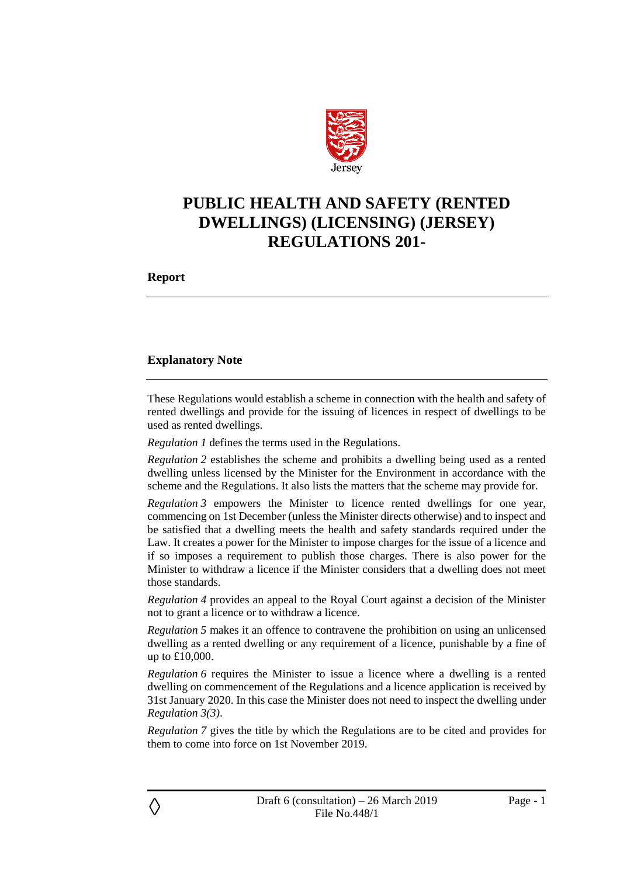

# **PUBLIC HEALTH AND SAFETY (RENTED DWELLINGS) (LICENSING) (JERSEY) REGULATIONS 201-**

**Report**

◊

### **Explanatory Note**

These Regulations would establish a scheme in connection with the health and safety of rented dwellings and provide for the issuing of licences in respect of dwellings to be used as rented dwellings.

*Regulation 1* defines the terms used in the Regulations.

*Regulation 2* establishes the scheme and prohibits a dwelling being used as a rented dwelling unless licensed by the Minister for the Environment in accordance with the scheme and the Regulations. It also lists the matters that the scheme may provide for.

*Regulation 3* empowers the Minister to licence rented dwellings for one year, commencing on 1st December (unless the Minister directs otherwise) and to inspect and be satisfied that a dwelling meets the health and safety standards required under the Law. It creates a power for the Minister to impose charges for the issue of a licence and if so imposes a requirement to publish those charges. There is also power for the Minister to withdraw a licence if the Minister considers that a dwelling does not meet those standards.

*Regulation 4* provides an appeal to the Royal Court against a decision of the Minister not to grant a licence or to withdraw a licence.

*Regulation 5* makes it an offence to contravene the prohibition on using an unlicensed dwelling as a rented dwelling or any requirement of a licence, punishable by a fine of up to £10,000.

*Regulation* 6 requires the Minister to issue a licence where a dwelling is a rented dwelling on commencement of the Regulations and a licence application is received by 31st January 2020. In this case the Minister does not need to inspect the dwelling under *Regulation 3(3)*.

*Regulation 7* gives the title by which the Regulations are to be cited and provides for them to come into force on 1st November 2019.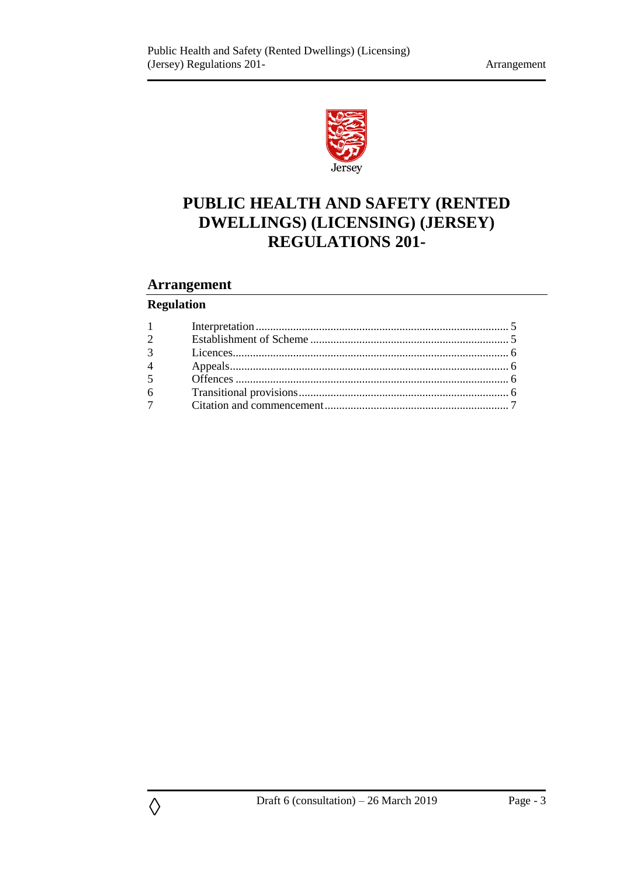

# **PUBLIC HEALTH AND SAFETY (RENTED DWELLINGS) (LICENSING) (JERSEY) REGULATIONS 201-**

## **Arrangement**

## **Regulation**

◊

| $1 \qquad \qquad$ |  |
|-------------------|--|
| $\overline{2}$    |  |
|                   |  |
| $4 \quad$         |  |
| 5 <sup>5</sup>    |  |
| $6\degree$        |  |
| $\overline{7}$    |  |
|                   |  |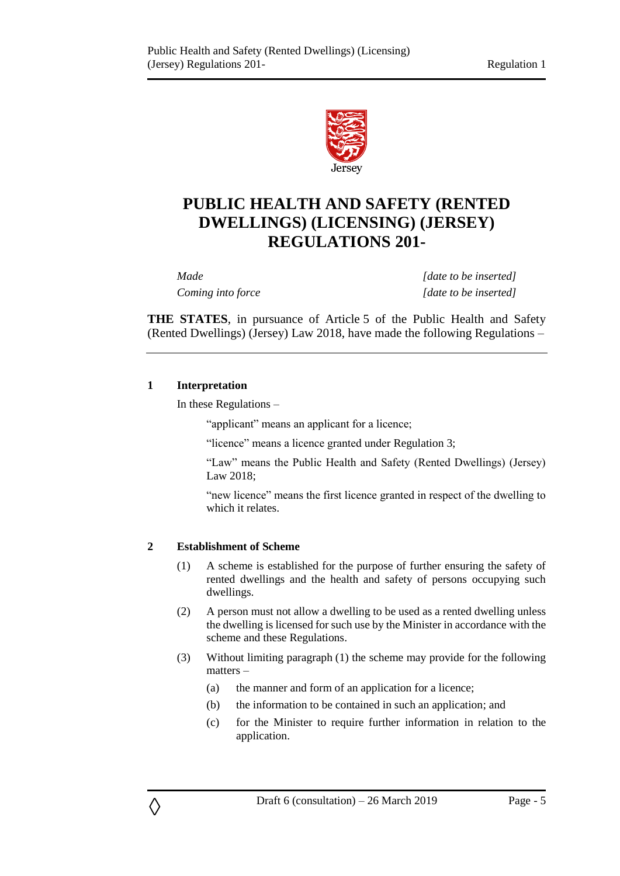

# **PUBLIC HEALTH AND SAFETY (RENTED DWELLINGS) (LICENSING) (JERSEY) REGULATIONS 201-**

*Made [date to be inserted] Coming into force [date to be inserted]*

**THE STATES**, in pursuance of Article 5 of the Public Health and Safety (Rented Dwellings) (Jersey) Law 2018, have made the following Regulations –

#### <span id="page-4-0"></span>**1 Interpretation**

In these Regulations –

"applicant" means an applicant for a licence;

"licence" means a licence granted under Regulation 3;

"Law" means the Public Health and Safety (Rented Dwellings) (Jersey) Law 2018;

"new licence" means the first licence granted in respect of the dwelling to which it relates.

#### <span id="page-4-1"></span>**2 Establishment of Scheme**

◊

- (1) A scheme is established for the purpose of further ensuring the safety of rented dwellings and the health and safety of persons occupying such dwellings.
- (2) A person must not allow a dwelling to be used as a rented dwelling unless the dwelling is licensed for such use by the Minister in accordance with the scheme and these Regulations.
- (3) Without limiting paragraph (1) the scheme may provide for the following matters –
	- (a) the manner and form of an application for a licence;
	- (b) the information to be contained in such an application; and
	- (c) for the Minister to require further information in relation to the application.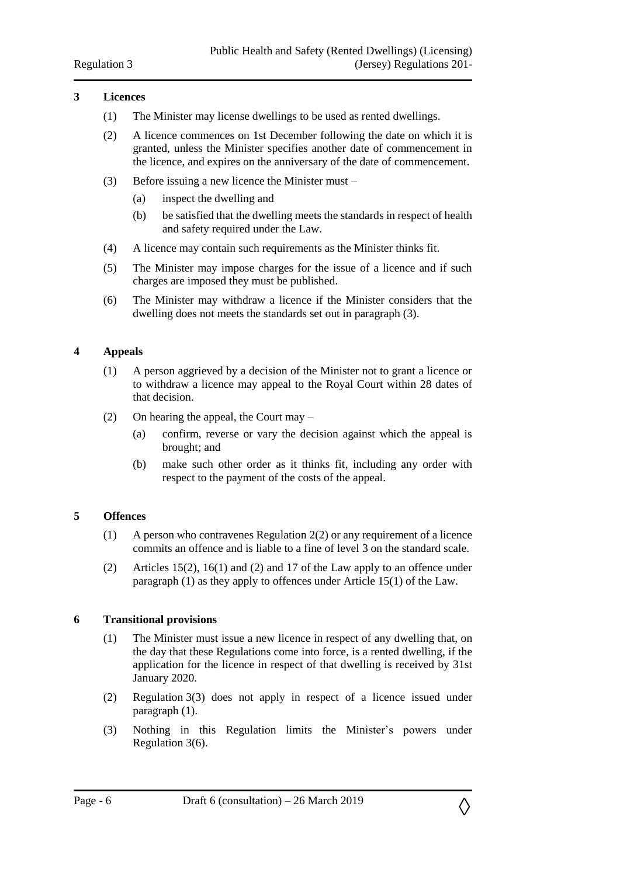#### <span id="page-5-0"></span>**3 Licences**

- (1) The Minister may license dwellings to be used as rented dwellings.
- (2) A licence commences on 1st December following the date on which it is granted, unless the Minister specifies another date of commencement in the licence, and expires on the anniversary of the date of commencement.
- (3) Before issuing a new licence the Minister must
	- (a) inspect the dwelling and
	- (b) be satisfied that the dwelling meets the standards in respect of health and safety required under the Law.
- (4) A licence may contain such requirements as the Minister thinks fit.
- (5) The Minister may impose charges for the issue of a licence and if such charges are imposed they must be published.
- (6) The Minister may withdraw a licence if the Minister considers that the dwelling does not meets the standards set out in paragraph (3).

### <span id="page-5-1"></span>**4 Appeals**

- (1) A person aggrieved by a decision of the Minister not to grant a licence or to withdraw a licence may appeal to the Royal Court within 28 dates of that decision.
- (2) On hearing the appeal, the Court may
	- (a) confirm, reverse or vary the decision against which the appeal is brought; and
	- (b) make such other order as it thinks fit, including any order with respect to the payment of the costs of the appeal.

#### <span id="page-5-2"></span>**5 Offences**

- (1) A person who contravenes Regulation 2(2) or any requirement of a licence commits an offence and is liable to a fine of level 3 on the standard scale.
- (2) Articles 15(2), 16(1) and (2) and 17 of the Law apply to an offence under paragraph (1) as they apply to offences under Article 15(1) of the Law.

#### <span id="page-5-3"></span>**6 Transitional provisions**

- (1) The Minister must issue a new licence in respect of any dwelling that, on the day that these Regulations come into force, is a rented dwelling, if the application for the licence in respect of that dwelling is received by 31st January 2020.
- (2) Regulation 3(3) does not apply in respect of a licence issued under paragraph (1).
- (3) Nothing in this Regulation limits the Minister's powers under Regulation 3(6).